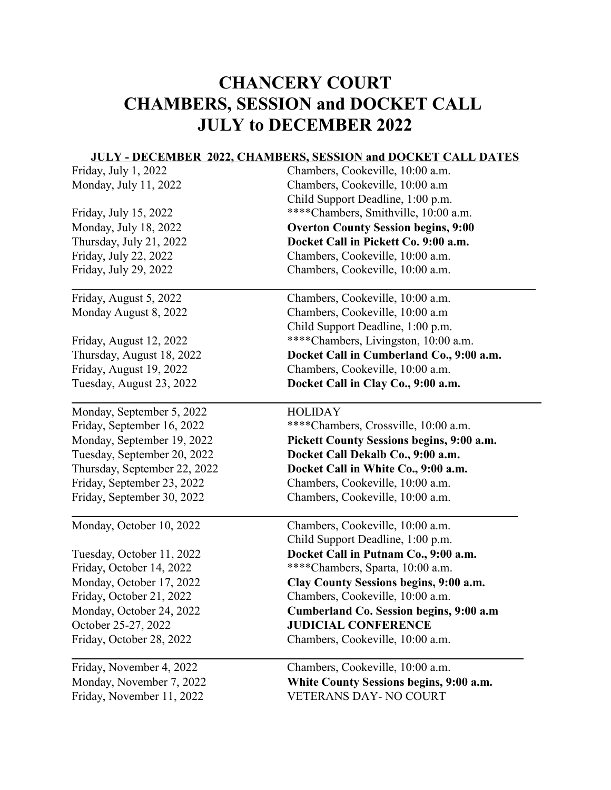## CHANCERY COURT CHAMBERS, SESSION and DOCKET CALL JULY to DECEMBER 2022

## JULY - DECEMBER 2022, CHAMBERS, SESSION and DOCKET CALL DATES

| Friday, July 1, 2022         | Chambers, Cookeville, 10:00 a.m.           |
|------------------------------|--------------------------------------------|
| Monday, July 11, 2022        | Chambers, Cookeville, 10:00 a.m            |
|                              | Child Support Deadline, 1:00 p.m.          |
| Friday, July 15, 2022        | **** Chambers, Smithville, 10:00 a.m.      |
| Monday, July 18, 2022        | <b>Overton County Session begins, 9:00</b> |
| Thursday, July 21, 2022      | Docket Call in Pickett Co. 9:00 a.m.       |
| Friday, July 22, 2022        | Chambers, Cookeville, 10:00 a.m.           |
| Friday, July 29, 2022        | Chambers, Cookeville, 10:00 a.m.           |
| Friday, August 5, 2022       | Chambers, Cookeville, 10:00 a.m.           |
| Monday August 8, 2022        | Chambers, Cookeville, 10:00 a.m            |
|                              | Child Support Deadline, 1:00 p.m.          |
| Friday, August 12, 2022      | ****Chambers, Livingston, 10:00 a.m.       |
| Thursday, August 18, 2022    | Docket Call in Cumberland Co., 9:00 a.m.   |
| Friday, August 19, 2022      | Chambers, Cookeville, 10:00 a.m.           |
| Tuesday, August 23, 2022     | Docket Call in Clay Co., 9:00 a.m.         |
| Monday, September 5, 2022    | <b>HOLIDAY</b>                             |
| Friday, September 16, 2022   | ****Chambers, Crossville, 10:00 a.m.       |
| Monday, September 19, 2022   | Pickett County Sessions begins, 9:00 a.m.  |
| Tuesday, September 20, 2022  | Docket Call Dekalb Co., 9:00 a.m.          |
| Thursday, September 22, 2022 | Docket Call in White Co., 9:00 a.m.        |
| Friday, September 23, 2022   | Chambers, Cookeville, 10:00 a.m.           |
| Friday, September 30, 2022   | Chambers, Cookeville, 10:00 a.m.           |
| Monday, October 10, 2022     | Chambers, Cookeville, 10:00 a.m.           |
|                              | Child Support Deadline, 1:00 p.m.          |
| Tuesday, October 11, 2022    | Docket Call in Putnam Co., 9:00 a.m.       |
| Friday, October 14, 2022     | ****Chambers, Sparta, 10:00 a.m.           |
| Monday, October 17, 2022     | Clay County Sessions begins, 9:00 a.m.     |
| Friday, October 21, 2022     | Chambers, Cookeville, 10:00 a.m.           |
| Monday, October 24, 2022     | Cumberland Co. Session begins, 9:00 a.m    |
| October 25-27, 2022          | <b>JUDICIAL CONFERENCE</b>                 |
| Friday, October 28, 2022     | Chambers, Cookeville, 10:00 a.m.           |
| Friday, November 4, 2022     | Chambers, Cookeville, 10:00 a.m.           |
| Monday, November 7, 2022     | White County Sessions begins, 9:00 a.m.    |
| Friday, November 11, 2022    | <b>VETERANS DAY- NO COURT</b>              |